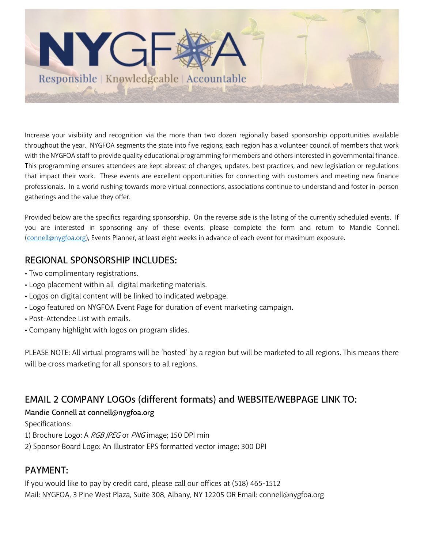

Increase your visibility and recognition via the more than two dozen regionally based sponsorship opportunities available throughout the year. NYGFOA segments the state into five regions; each region has a volunteer council of members that work with the NYGFOA staff to provide quality educational programming for members and others interested in governmental finance. This programming ensures attendees are kept abreast of changes, updates, best practices, and new legislation or regulations that impact their work. These events are excellent opportunities for connecting with customers and meeting new finance professionals. In a world rushing towards more virtual connections, associations continue to understand and foster in-person gatherings and the value they offer.

Provided below are the specifics regarding sponsorship. On the reverse side is the listing of the currently scheduled events. If you are interested in sponsoring any of these events, please complete the form and return to Mandie Connell (connell@nygfoa.org), Events Planner, at least eight weeks in advance of each event for maximum exposure.

### REGIONAL SPONSORSHIP INCLUDES:

- Two complimentary registrations.
- Logo placement within all digital marketing materials.
- Logos on digital content will be linked to indicated webpage.
- Logo featured on NYGFOA Event Page for duration of event marketing campaign.
- Post-Attendee List with emails.
- Company highlight with logos on program slides.

PLEASE NOTE: All virtual programs will be 'hosted' by a region but will be marketed to all regions. This means there will be cross marketing for all sponsors to all regions.

## EMAIL 2 COMPANY LOGOs (different formats) and WEBSITE/WEBPAGE LINK TO:

#### Mandie Connell at connell@nygfoa.org

Specifications:

1) Brochure Logo: A RGB JPEG or PNG image; 150 DPI min

2) Sponsor Board Logo: An Illustrator EPS formatted vector image; 300 DPI

## PAYMENT:

If you would like to pay by credit card, please call our offices at (518) 465-1512 Mail: NYGFOA, 3 Pine West Plaza, Suite 308, Albany, NY 12205 OR Email: connell@nygfoa.org